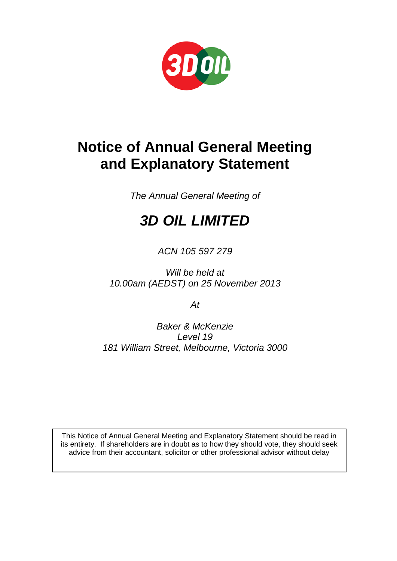

# **Notice of Annual General Meeting and Explanatory Statement**

*The Annual General Meeting of*

# *3D OIL LIMITED*

*ACN 105 597 279*

*Will be held at 10.00am (AEDST) on 25 November 2013*

*At*

*Baker & McKenzie Level 19 181 William Street, Melbourne, Victoria 3000*

This Notice of Annual General Meeting and Explanatory Statement should be read in its entirety. If shareholders are in doubt as to how they should vote, they should seek advice from their accountant, solicitor or other professional advisor without delay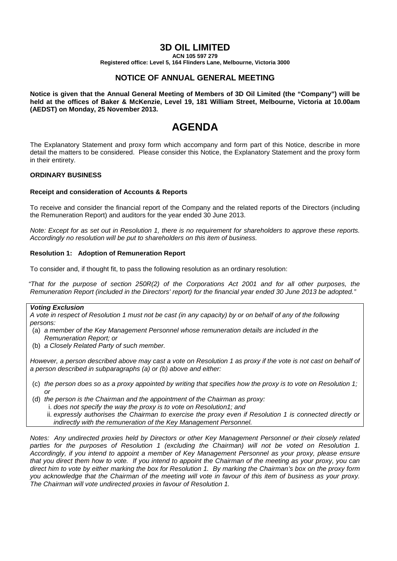# **3D OIL LIMITED**

**ACN 105 597 279**

**Registered office: Level 5, 164 Flinders Lane, Melbourne, Victoria 3000**

## **NOTICE OF ANNUAL GENERAL MEETING**

**Notice is given that the Annual General Meeting of Members of 3D Oil Limited (the "Company") will be held at the offices of Baker & McKenzie, Level 19, 181 William Street, Melbourne, Victoria at 10.00am (AEDST) on Monday, 25 November 2013.**

# **AGENDA**

The Explanatory Statement and proxy form which accompany and form part of this Notice, describe in more detail the matters to be considered. Please consider this Notice, the Explanatory Statement and the proxy form in their entirety.

#### **ORDINARY BUSINESS**

#### **Receipt and consideration of Accounts & Reports**

To receive and consider the financial report of the Company and the related reports of the Directors (including the Remuneration Report) and auditors for the year ended 30 June 2013.

*Note: Except for as set out in Resolution 1, there is no requirement for shareholders to approve these reports. Accordingly no resolution will be put to shareholders on this item of business.*

#### **Resolution 1: Adoption of Remuneration Report**

To consider and, if thought fit, to pass the following resolution as an ordinary resolution:

*"That for the purpose of section 250R(2) of the Corporations Act 2001 and for all other purposes, the Remuneration Report (included in the Directors' report) for the financial year ended 30 June 2013 be adopted."*

#### *Voting Exclusion*

*A vote in respect of Resolution 1 must not be cast (in any capacity) by or on behalf of any of the following persons:*

- (a) *a member of the Key Management Personnel whose remuneration details are included in the Remuneration Report; or*
- (b) *a Closely Related Party of such member.*

*However, a person described above may cast a vote on Resolution 1 as proxy if the vote is not cast on behalf of a person described in subparagraphs (a) or (b) above and either:* 

- (c) *the person does so as a proxy appointed by writing that specifies how the proxy is to vote on Resolution 1; or*
- (d) *the person is the Chairman and the appointment of the Chairman as proxy:* 
	- i. *does not specify the way the proxy is to vote on Resolution1; and* 
		- ii. *expressly authorises the Chairman to exercise the proxy even if Resolution 1 is connected directly or indirectly with the remuneration of the Key Management Personnel.*

*Notes: Any undirected proxies held by Directors or other Key Management Personnel or their closely related*  parties for the purposes of Resolution 1 (excluding the Chairman) will not be voted on Resolution 1. *Accordingly, if you intend to appoint a member of Key Management Personnel as your proxy, please ensure that you direct them how to vote. If you intend to appoint the Chairman of the meeting as your proxy, you can direct him to vote by either marking the box for Resolution 1. By marking the Chairman's box on the proxy form you acknowledge that the Chairman of the meeting will vote in favour of this item of business as your proxy. The Chairman will vote undirected proxies in favour of Resolution 1.*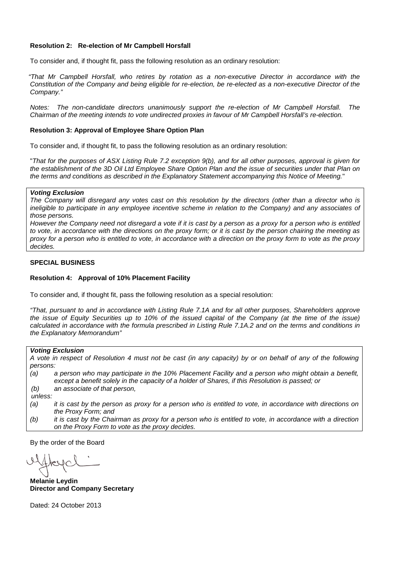#### **Resolution 2: Re-election of Mr Campbell Horsfall**

To consider and, if thought fit, pass the following resolution as an ordinary resolution:

*"That Mr Campbell Horsfall, who retires by rotation as a non-executive Director in accordance with the Constitution of the Company and being eligible for re-election, be re-elected as a non-executive Director of the Company."*

*Notes: The non-candidate directors unanimously support the re-election of Mr Campbell Horsfall. The Chairman of the meeting intends to vote undirected proxies in favour of Mr Campbell Horsfall's re-election.*

#### **Resolution 3: Approval of Employee Share Option Plan**

To consider and, if thought fit, to pass the following resolution as an ordinary resolution:

"*That for the purposes of ASX Listing Rule 7.2 exception 9(b), and for all other purposes, approval is given for the establishment of the 3D Oil Ltd Employee Share Option Plan and the issue of securities under that Plan on the terms and conditions as described in the Explanatory Statement accompanying this Notice of Meeting.*"

#### *Voting Exclusion*

*The Company will disregard any votes cast on this resolution by the directors (other than a director who is ineligible to participate in any employee incentive scheme in relation to the Company) and any associates of those persons.*

*However the Company need not disregard a vote if it is cast by a person as a proxy for a person who is entitled to vote, in accordance with the directions on the proxy form; or it is cast by the person chairing the meeting as proxy for a person who is entitled to vote, in accordance with a direction on the proxy form to vote as the proxy decides.*

#### **SPECIAL BUSINESS**

#### **Resolution 4: Approval of 10% Placement Facility**

To consider and, if thought fit, pass the following resolution as a special resolution:

*"That, pursuant to and in accordance with Listing Rule 7.1A and for all other purposes, Shareholders approve the issue of Equity Securities up to 10% of the issued capital of the Company (at the time of the issue) calculated in accordance with the formula prescribed in Listing Rule 7.1A.2 and on the terms and conditions in the Explanatory Memorandum"*

#### *Voting Exclusion*

*A vote in respect of Resolution 4 must not be cast (in any capacity) by or on behalf of any of the following persons:*

*(a) a person who may participate in the 10% Placement Facility and a person who might obtain a benefit, except a benefit solely in the capacity of a holder of Shares, if this Resolution is passed; or (b) an associate of that person,*

*unless:*

- *(a) it is cast by the person as proxy for a person who is entitled to vote, in accordance with directions on the Proxy Form; and*
- *(b) it is cast by the Chairman as proxy for a person who is entitled to vote, in accordance with a direction on the Proxy Form to vote as the proxy decides.*

By the order of the Board

**Melanie Leydin Director and Company Secretary**

Dated: 24 October 2013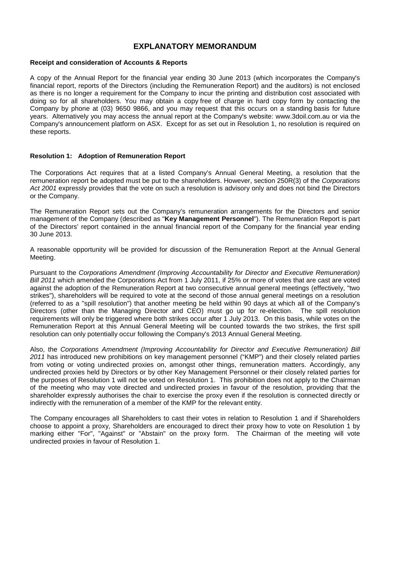### **EXPLANATORY MEMORANDUM**

#### **Receipt and consideration of Accounts & Reports**

A copy of the Annual Report for the financial year ending 30 June 2013 (which incorporates the Company's financial report, reports of the Directors (including the Remuneration Report) and the auditors) is not enclosed as there is no longer a requirement for the Company to incur the printing and distribution cost associated with doing so for all shareholders. You may obtain a copy free of charge in hard copy form by contacting the Company by phone at (03) 9650 9866, and you may request that this occurs on a standing basis for future years. Alternatively you may access the annual report at the Company's website: www.3doil.com.au or via the Company's announcement platform on ASX. Except for as set out in Resolution 1, no resolution is required on these reports.

#### **Resolution 1: Adoption of Remuneration Report**

The Corporations Act requires that at a listed Company's Annual General Meeting, a resolution that the remuneration report be adopted must be put to the shareholders. However, section 250R(3) of the *Corporations Act 2001* expressly provides that the vote on such a resolution is advisory only and does not bind the Directors or the Company.

The Remuneration Report sets out the Company's remuneration arrangements for the Directors and senior management of the Company (described as "**Key Management Personnel**"). The Remuneration Report is part of the Directors' report contained in the annual financial report of the Company for the financial year ending 30 June 2013.

A reasonable opportunity will be provided for discussion of the Remuneration Report at the Annual General Meeting.

Pursuant to the *Corporations Amendment (Improving Accountability for Director and Executive Remuneration) Bill 2011* which amended the Corporations Act from 1 July 2011, if 25% or more of votes that are cast are voted against the adoption of the Remuneration Report at two consecutive annual general meetings (effectively, "two strikes"), shareholders will be required to vote at the second of those annual general meetings on a resolution (referred to as a "spill resolution") that another meeting be held within 90 days at which all of the Company's Directors (other than the Managing Director and CEO) must go up for re-election. The spill resolution requirements will only be triggered where both strikes occur after 1 July 2013. On this basis, while votes on the Remuneration Report at this Annual General Meeting will be counted towards the two strikes, the first spill resolution can only potentially occur following the Company's 2013 Annual General Meeting.

Also, the *Corporations Amendment (Improving Accountability for Director and Executive Remuneration) Bill 2011* has introduced new prohibitions on key management personnel ("KMP") and their closely related parties from voting or voting undirected proxies on, amongst other things, remuneration matters. Accordingly, any undirected proxies held by Directors or by other Key Management Personnel or their closely related parties for the purposes of Resolution 1 will not be voted on Resolution 1. This prohibition does not apply to the Chairman of the meeting who may vote directed and undirected proxies in favour of the resolution, providing that the shareholder expressly authorises the chair to exercise the proxy even if the resolution is connected directly or indirectly with the remuneration of a member of the KMP for the relevant entity.

The Company encourages all Shareholders to cast their votes in relation to Resolution 1 and if Shareholders choose to appoint a proxy, Shareholders are encouraged to direct their proxy how to vote on Resolution 1 by marking either "For", "Against" or "Abstain" on the proxy form. The Chairman of the meeting will vote undirected proxies in favour of Resolution 1.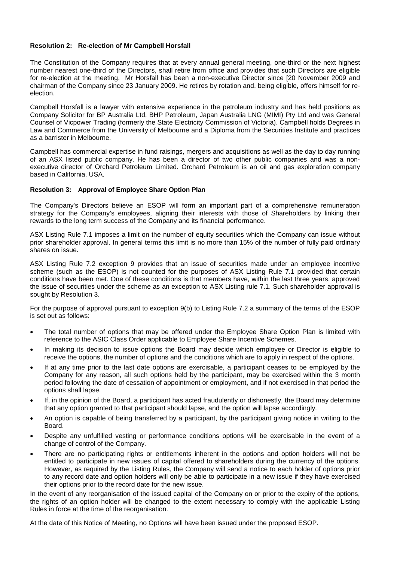#### **Resolution 2: Re-election of Mr Campbell Horsfall**

The Constitution of the Company requires that at every annual general meeting, one-third or the next highest number nearest one-third of the Directors, shall retire from office and provides that such Directors are eligible for re-election at the meeting. Mr Horsfall has been a non-executive Director since [20 November 2009 and chairman of the Company since 23 January 2009. He retires by rotation and, being eligible, offers himself for reelection.

Campbell Horsfall is a lawyer with extensive experience in the petroleum industry and has held positions as Company Solicitor for BP Australia Ltd, BHP Petroleum, Japan Australia LNG (MIMI) Pty Ltd and was General Counsel of Vicpower Trading (formerly the State Electricity Commission of Victoria). Campbell holds Degrees in Law and Commerce from the University of Melbourne and a Diploma from the Securities Institute and practices as a barrister in Melbourne.

Campbell has commercial expertise in fund raisings, mergers and acquisitions as well as the day to day running of an ASX listed public company. He has been a director of two other public companies and was a nonexecutive director of Orchard Petroleum Limited. Orchard Petroleum is an oil and gas exploration company based in California, USA.

#### **Resolution 3: Approval of Employee Share Option Plan**

The Company's Directors believe an ESOP will form an important part of a comprehensive remuneration strategy for the Company's employees, aligning their interests with those of Shareholders by linking their rewards to the long term success of the Company and its financial performance.

ASX Listing Rule 7.1 imposes a limit on the number of equity securities which the Company can issue without prior shareholder approval. In general terms this limit is no more than 15% of the number of fully paid ordinary shares on issue.

ASX Listing Rule 7.2 exception 9 provides that an issue of securities made under an employee incentive scheme (such as the ESOP) is not counted for the purposes of ASX Listing Rule 7.1 provided that certain conditions have been met. One of these conditions is that members have, within the last three years, approved the issue of securities under the scheme as an exception to ASX Listing rule 7.1. Such shareholder approval is sought by Resolution 3.

For the purpose of approval pursuant to exception 9(b) to Listing Rule 7.2 a summary of the terms of the ESOP is set out as follows:

- The total number of options that may be offered under the Employee Share Option Plan is limited with reference to the ASIC Class Order applicable to Employee Share Incentive Schemes.
- In making its decision to issue options the Board may decide which employee or Director is eligible to receive the options, the number of options and the conditions which are to apply in respect of the options.
- If at any time prior to the last date options are exercisable, a participant ceases to be employed by the Company for any reason, all such options held by the participant, may be exercised within the 3 month period following the date of cessation of appointment or employment, and if not exercised in that period the options shall lapse.
- If, in the opinion of the Board, a participant has acted fraudulently or dishonestly, the Board may determine that any option granted to that participant should lapse, and the option will lapse accordingly.
- An option is capable of being transferred by a participant, by the participant giving notice in writing to the Board.
- Despite any unfulfilled vesting or performance conditions options will be exercisable in the event of a change of control of the Company.
- There are no participating rights or entitlements inherent in the options and option holders will not be entitled to participate in new issues of capital offered to shareholders during the currency of the options. However, as required by the Listing Rules, the Company will send a notice to each holder of options prior to any record date and option holders will only be able to participate in a new issue if they have exercised their options prior to the record date for the new issue.

In the event of any reorganisation of the issued capital of the Company on or prior to the expiry of the options, the rights of an option holder will be changed to the extent necessary to comply with the applicable Listing Rules in force at the time of the reorganisation.

At the date of this Notice of Meeting, no Options will have been issued under the proposed ESOP.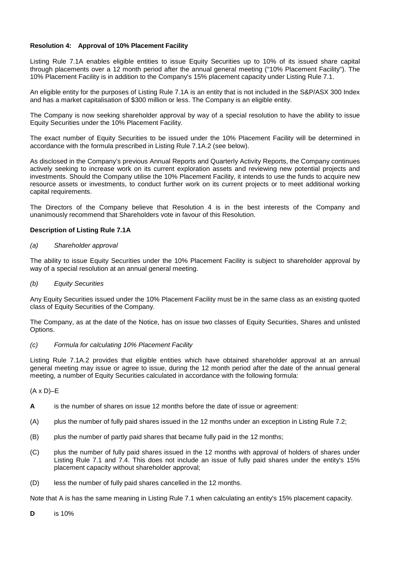#### **Resolution 4: Approval of 10% Placement Facility**

Listing Rule 7.1A enables eligible entities to issue Equity Securities up to 10% of its issued share capital through placements over a 12 month period after the annual general meeting ("10% Placement Facility"). The 10% Placement Facility is in addition to the Company's 15% placement capacity under Listing Rule 7.1.

An eligible entity for the purposes of Listing Rule 7.1A is an entity that is not included in the S&P/ASX 300 Index and has a market capitalisation of \$300 million or less. The Company is an eligible entity.

The Company is now seeking shareholder approval by way of a special resolution to have the ability to issue Equity Securities under the 10% Placement Facility.

The exact number of Equity Securities to be issued under the 10% Placement Facility will be determined in accordance with the formula prescribed in Listing Rule 7.1A.2 (see below).

As disclosed in the Company's previous Annual Reports and Quarterly Activity Reports, the Company continues actively seeking to increase work on its current exploration assets and reviewing new potential projects and investments. Should the Company utilise the 10% Placement Facility, it intends to use the funds to acquire new resource assets or investments, to conduct further work on its current projects or to meet additional working capital requirements.

The Directors of the Company believe that Resolution 4 is in the best interests of the Company and unanimously recommend that Shareholders vote in favour of this Resolution.

#### **Description of Listing Rule 7.1A**

#### *(a) Shareholder approval*

The ability to issue Equity Securities under the 10% Placement Facility is subject to shareholder approval by way of a special resolution at an annual general meeting.

#### *(b) Equity Securities*

Any Equity Securities issued under the 10% Placement Facility must be in the same class as an existing quoted class of Equity Securities of the Company.

The Company, as at the date of the Notice, has on issue two classes of Equity Securities, Shares and unlisted Options.

#### *(c) Formula for calculating 10% Placement Facility*

Listing Rule 7.1A.2 provides that eligible entities which have obtained shareholder approval at an annual general meeting may issue or agree to issue, during the 12 month period after the date of the annual general meeting, a number of Equity Securities calculated in accordance with the following formula:

#### $(A \times D)$ –E

- **A** is the number of shares on issue 12 months before the date of issue or agreement:
- (A) plus the number of fully paid shares issued in the 12 months under an exception in Listing Rule 7.2;
- (B) plus the number of partly paid shares that became fully paid in the 12 months;
- (C) plus the number of fully paid shares issued in the 12 months with approval of holders of shares under Listing Rule 7.1 and 7.4. This does not include an issue of fully paid shares under the entity's 15% placement capacity without shareholder approval;
- (D) less the number of fully paid shares cancelled in the 12 months.

Note that A is has the same meaning in Listing Rule 7.1 when calculating an entity's 15% placement capacity.

**D** is 10%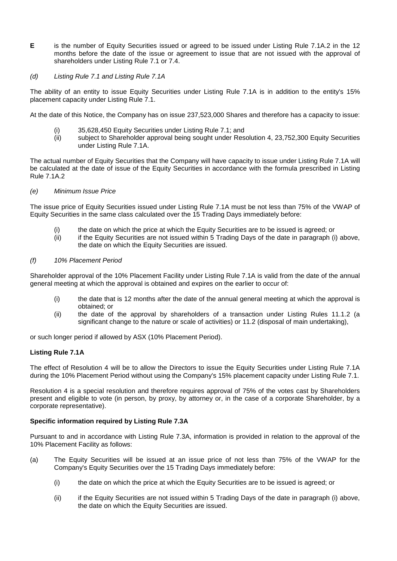**E** is the number of Equity Securities issued or agreed to be issued under Listing Rule 7.1A.2 in the 12 months before the date of the issue or agreement to issue that are not issued with the approval of shareholders under Listing Rule 7.1 or 7.4.

#### *(d) Listing Rule 7.1 and Listing Rule 7.1A*

The ability of an entity to issue Equity Securities under Listing Rule 7.1A is in addition to the entity's 15% placement capacity under Listing Rule 7.1.

At the date of this Notice, the Company has on issue 237,523,000 Shares and therefore has a capacity to issue:

- (i) 35,628,450 Equity Securities under Listing Rule 7.1; and<br>(ii) subject to Shareholder approval being sought under Res
- subject to Shareholder approval being sought under Resolution 4, 23,752,300 Equity Securities under Listing Rule 7.1A.

The actual number of Equity Securities that the Company will have capacity to issue under Listing Rule 7.1A will be calculated at the date of issue of the Equity Securities in accordance with the formula prescribed in Listing Rule 7.1A.2

#### *(e) Minimum Issue Price*

The issue price of Equity Securities issued under Listing Rule 7.1A must be not less than 75% of the VWAP of Equity Securities in the same class calculated over the 15 Trading Days immediately before:

- (i) the date on which the price at which the Equity Securities are to be issued is agreed; or
- (ii) if the Equity Securities are not issued within 5 Trading Days of the date in paragraph (i) above, the date on which the Equity Securities are issued.

#### *(f) 10% Placement Period*

Shareholder approval of the 10% Placement Facility under Listing Rule 7.1A is valid from the date of the annual general meeting at which the approval is obtained and expires on the earlier to occur of:

- (i) the date that is 12 months after the date of the annual general meeting at which the approval is obtained; or
- (ii) the date of the approval by shareholders of a transaction under Listing Rules 11.1.2 (a significant change to the nature or scale of activities) or 11.2 (disposal of main undertaking),

or such longer period if allowed by ASX (10% Placement Period).

#### **Listing Rule 7.1A**

The effect of Resolution 4 will be to allow the Directors to issue the Equity Securities under Listing Rule 7.1A during the 10% Placement Period without using the Company's 15% placement capacity under Listing Rule 7.1.

Resolution 4 is a special resolution and therefore requires approval of 75% of the votes cast by Shareholders present and eligible to vote (in person, by proxy, by attorney or, in the case of a corporate Shareholder, by a corporate representative).

#### **Specific information required by Listing Rule 7.3A**

Pursuant to and in accordance with Listing Rule 7.3A, information is provided in relation to the approval of the 10% Placement Facility as follows:

- (a) The Equity Securities will be issued at an issue price of not less than 75% of the VWAP for the Company's Equity Securities over the 15 Trading Days immediately before:
	- (i) the date on which the price at which the Equity Securities are to be issued is agreed; or
	- (ii) if the Equity Securities are not issued within 5 Trading Days of the date in paragraph (i) above, the date on which the Equity Securities are issued.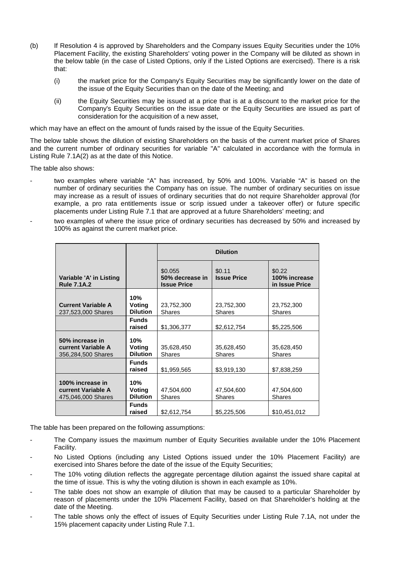- (b) If Resolution 4 is approved by Shareholders and the Company issues Equity Securities under the 10% Placement Facility, the existing Shareholders' voting power in the Company will be diluted as shown in the below table (in the case of Listed Options, only if the Listed Options are exercised). There is a risk that:
	- (i) the market price for the Company's Equity Securities may be significantly lower on the date of the issue of the Equity Securities than on the date of the Meeting; and
	- (ii) the Equity Securities may be issued at a price that is at a discount to the market price for the Company's Equity Securities on the issue date or the Equity Securities are issued as part of consideration for the acquisition of a new asset,

which may have an effect on the amount of funds raised by the issue of the Equity Securities.

The below table shows the dilution of existing Shareholders on the basis of the current market price of Shares and the current number of ordinary securities for variable "A" calculated in accordance with the formula in Listing Rule 7.1A(2) as at the date of this Notice.

The table also shows:

- two examples where variable "A" has increased, by 50% and 100%. Variable "A" is based on the number of ordinary securities the Company has on issue. The number of ordinary securities on issue may increase as a result of issues of ordinary securities that do not require Shareholder approval (for example, a pro rata entitlements issue or scrip issued under a takeover offer) or future specific placements under Listing Rule 7.1 that are approved at a future Shareholders' meeting; and
- two examples of where the issue price of ordinary securities has decreased by 50% and increased by 100% as against the current market price.

|                                                                     |                                  | <b>Dilution</b>                                  |                              |                                           |  |
|---------------------------------------------------------------------|----------------------------------|--------------------------------------------------|------------------------------|-------------------------------------------|--|
| Variable 'A' in Listing<br><b>Rule 7.1A.2</b>                       |                                  | \$0.055<br>50% decrease in<br><b>Issue Price</b> | \$0.11<br><b>Issue Price</b> | \$0.22<br>100% increase<br>in Issue Price |  |
| <b>Current Variable A</b><br>237,523,000 Shares                     | 10%<br>Voting<br><b>Dilution</b> | 23,752,300<br><b>Shares</b>                      | 23,752,300<br><b>Shares</b>  | 23,752,300<br><b>Shares</b>               |  |
|                                                                     | <b>Funds</b><br>raised           | \$1,306,377                                      | \$2,612,754                  | \$5,225,506                               |  |
| 50% increase in<br>current Variable A<br>356,284,500 Shares         | 10%<br>Voting<br><b>Dilution</b> | 35,628,450<br><b>Shares</b>                      | 35,628,450<br><b>Shares</b>  | 35,628,450<br><b>Shares</b>               |  |
|                                                                     | <b>Funds</b><br>raised           | \$1,959,565                                      | \$3,919,130                  | \$7,838,259                               |  |
| 100% increase in<br><b>current Variable A</b><br>475,046,000 Shares | 10%<br>Voting<br><b>Dilution</b> | 47,504,600<br><b>Shares</b>                      | 47,504,600<br><b>Shares</b>  | 47,504,600<br><b>Shares</b>               |  |
|                                                                     | <b>Funds</b><br>raised           | \$2,612,754                                      | \$5,225,506                  | \$10,451,012                              |  |

The table has been prepared on the following assumptions:

- The Company issues the maximum number of Equity Securities available under the 10% Placement Facility.
- No Listed Options (including any Listed Options issued under the 10% Placement Facility) are exercised into Shares before the date of the issue of the Equity Securities;
- The 10% voting dilution reflects the aggregate percentage dilution against the issued share capital at the time of issue. This is why the voting dilution is shown in each example as 10%.
- The table does not show an example of dilution that may be caused to a particular Shareholder by reason of placements under the 10% Placement Facility, based on that Shareholder's holding at the date of the Meeting.
- The table shows only the effect of issues of Equity Securities under Listing Rule 7.1A, not under the 15% placement capacity under Listing Rule 7.1.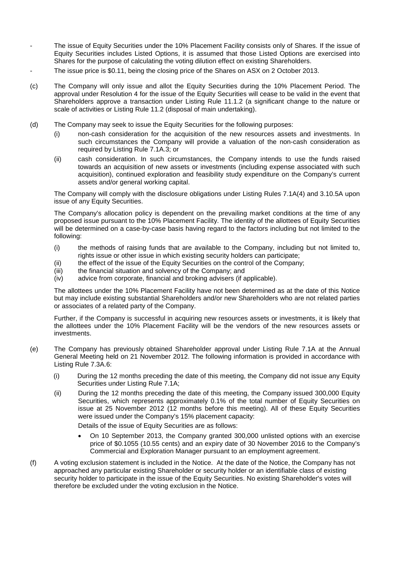- The issue of Equity Securities under the 10% Placement Facility consists only of Shares. If the issue of Equity Securities includes Listed Options, it is assumed that those Listed Options are exercised into Shares for the purpose of calculating the voting dilution effect on existing Shareholders.
- The issue price is \$0.11, being the closing price of the Shares on ASX on 2 October 2013.
- (c) The Company will only issue and allot the Equity Securities during the 10% Placement Period. The approval under Resolution 4 for the issue of the Equity Securities will cease to be valid in the event that Shareholders approve a transaction under Listing Rule 11.1.2 (a significant change to the nature or scale of activities or Listing Rule 11.2 (disposal of main undertaking).
- (d) The Company may seek to issue the Equity Securities for the following purposes:
	- (i) non-cash consideration for the acquisition of the new resources assets and investments. In such circumstances the Company will provide a valuation of the non-cash consideration as required by Listing Rule 7.1A.3; or
	- (ii) cash consideration. In such circumstances, the Company intends to use the funds raised towards an acquisition of new assets or investments (including expense associated with such acquisition), continued exploration and feasibility study expenditure on the Company's current assets and/or general working capital.

The Company will comply with the disclosure obligations under Listing Rules 7.1A(4) and 3.10.5A upon issue of any Equity Securities.

The Company's allocation policy is dependent on the prevailing market conditions at the time of any proposed issue pursuant to the 10% Placement Facility. The identity of the allottees of Equity Securities will be determined on a case-by-case basis having regard to the factors including but not limited to the following:

- (i) the methods of raising funds that are available to the Company, including but not limited to, rights issue or other issue in which existing security holders can participate;
- (ii) the effect of the issue of the Equity Securities on the control of the Company;
- (iii) the financial situation and solvency of the Company; and
- (iv) advice from corporate, financial and broking advisers (if applicable).

The allottees under the 10% Placement Facility have not been determined as at the date of this Notice but may include existing substantial Shareholders and/or new Shareholders who are not related parties or associates of a related party of the Company.

Further, if the Company is successful in acquiring new resources assets or investments, it is likely that the allottees under the 10% Placement Facility will be the vendors of the new resources assets or investments.

- (e) The Company has previously obtained Shareholder approval under Listing Rule 7.1A at the Annual General Meeting held on 21 November 2012. The following information is provided in accordance with Listing Rule 7.3A.6:
	- (i) During the 12 months preceding the date of this meeting, the Company did not issue any Equity Securities under Listing Rule 7.1A;
	- (ii) During the 12 months preceding the date of this meeting, the Company issued 300,000 Equity Securities, which represents approximately 0.1% of the total number of Equity Securities on issue at 25 November 2012 (12 months before this meeting). All of these Equity Securities were issued under the Company's 15% placement capacity:

Details of the issue of Equity Securities are as follows:

- On 10 September 2013, the Company granted 300,000 unlisted options with an exercise price of \$0.1055 (10.55 cents) and an expiry date of 30 November 2016 to the Company's Commercial and Exploration Manager pursuant to an employment agreement.
- (f) A voting exclusion statement is included in the Notice. At the date of the Notice, the Company has not approached any particular existing Shareholder or security holder or an identifiable class of existing security holder to participate in the issue of the Equity Securities. No existing Shareholder's votes will therefore be excluded under the voting exclusion in the Notice.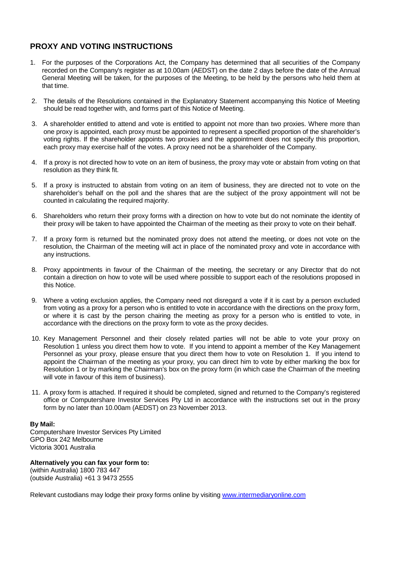# **PROXY AND VOTING INSTRUCTIONS**

- 1. For the purposes of the Corporations Act, the Company has determined that all securities of the Company recorded on the Company's register as at 10.00am (AEDST) on the date 2 days before the date of the Annual General Meeting will be taken, for the purposes of the Meeting, to be held by the persons who held them at that time.
- 2. The details of the Resolutions contained in the Explanatory Statement accompanying this Notice of Meeting should be read together with, and forms part of this Notice of Meeting.
- 3. A shareholder entitled to attend and vote is entitled to appoint not more than two proxies. Where more than one proxy is appointed, each proxy must be appointed to represent a specified proportion of the shareholder's voting rights. If the shareholder appoints two proxies and the appointment does not specify this proportion, each proxy may exercise half of the votes. A proxy need not be a shareholder of the Company.
- 4. If a proxy is not directed how to vote on an item of business, the proxy may vote or abstain from voting on that resolution as they think fit.
- 5. If a proxy is instructed to abstain from voting on an item of business, they are directed not to vote on the shareholder's behalf on the poll and the shares that are the subject of the proxy appointment will not be counted in calculating the required majority.
- 6. Shareholders who return their proxy forms with a direction on how to vote but do not nominate the identity of their proxy will be taken to have appointed the Chairman of the meeting as their proxy to vote on their behalf.
- 7. If a proxy form is returned but the nominated proxy does not attend the meeting, or does not vote on the resolution, the Chairman of the meeting will act in place of the nominated proxy and vote in accordance with any instructions.
- 8. Proxy appointments in favour of the Chairman of the meeting, the secretary or any Director that do not contain a direction on how to vote will be used where possible to support each of the resolutions proposed in this Notice.
- 9. Where a voting exclusion applies, the Company need not disregard a vote if it is cast by a person excluded from voting as a proxy for a person who is entitled to vote in accordance with the directions on the proxy form, or where it is cast by the person chairing the meeting as proxy for a person who is entitled to vote, in accordance with the directions on the proxy form to vote as the proxy decides.
- 10. Key Management Personnel and their closely related parties will not be able to vote your proxy on Resolution 1 unless you direct them how to vote. If you intend to appoint a member of the Key Management Personnel as your proxy, please ensure that you direct them how to vote on Resolution 1. If you intend to appoint the Chairman of the meeting as your proxy, you can direct him to vote by either marking the box for Resolution 1 or by marking the Chairman's box on the proxy form (in which case the Chairman of the meeting will vote in favour of this item of business).
- 11. A proxy form is attached. If required it should be completed, signed and returned to the Company's registered office or Computershare Investor Services Pty Ltd in accordance with the instructions set out in the proxy form by no later than 10.00am (AEDST) on 23 November 2013.

#### **By Mail:**

Computershare Investor Services Pty Limited GPO Box 242 Melbourne Victoria 3001 Australia

**Alternatively you can fax your form to:** (within Australia) 1800 783 447 (outside Australia) +61 3 9473 2555

Relevant custodians may lodge their proxy forms online by visiting [www.intermediaryonline.com](http://www.intermediaryonline.com/)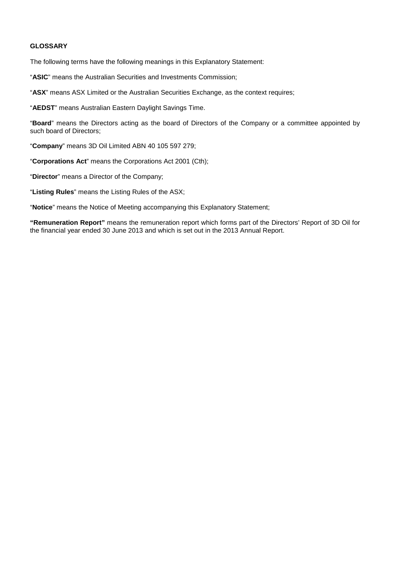#### **GLOSSARY**

The following terms have the following meanings in this Explanatory Statement:

"**ASIC**" means the Australian Securities and Investments Commission;

"**ASX**" means ASX Limited or the Australian Securities Exchange, as the context requires;

"**AEDST**" means Australian Eastern Daylight Savings Time.

"**Board**" means the Directors acting as the board of Directors of the Company or a committee appointed by such board of Directors;

"**Company**" means 3D Oil Limited ABN 40 105 597 279;

"**Corporations Act**" means the Corporations Act 2001 (Cth);

"**Director**" means a Director of the Company;

"**Listing Rules**" means the Listing Rules of the ASX;

"**Notice**" means the Notice of Meeting accompanying this Explanatory Statement;

**"Remuneration Report"** means the remuneration report which forms part of the Directors' Report of 3D Oil for the financial year ended 30 June 2013 and which is set out in the 2013 Annual Report.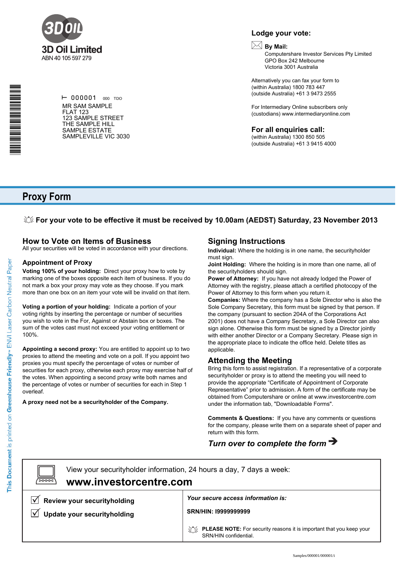

\*S000001Q01\*

 $\vdash$  000001 000 TDO MR SAM SAMPLE FLAT 123 123 SAMPLE STREET THE SAMPLE HILL SAMPLE ESTATE SAMPLEVILLE VIC 3030

# **Lodge your vote:**

# **By Mail:**

Computershare Investor Services Pty Limited GPO Box 242 Melbourne Victoria 3001 Australia

Alternatively you can fax your form to (within Australia) 1800 783 447 (outside Australia) +61 3 9473 2555

For Intermediary Online subscribers only (custodians) www.intermediaryonline.com

#### **For all enquiries call:**

(within Australia) 1300 850 505 (outside Australia) +61 3 9415 4000

# **Proxy Form**

### **For your vote to be effective it must be received by 10.00am (AEDST) Saturday, 23 November 2013**

### **How to Vote on Items of Business**

All your securities will be voted in accordance with your directions.

#### **Appointment of Proxy**

**Voting 100% of your holding:** Direct your proxy how to vote by marking one of the boxes opposite each item of business. If you do not mark a box your proxy may vote as they choose. If you mark more than one box on an item your vote will be invalid on that item.

**Voting a portion of your holding:** Indicate a portion of your voting rights by inserting the percentage or number of securities you wish to vote in the For, Against or Abstain box or boxes. The sum of the votes cast must not exceed your voting entitlement or 100%.

**Appointing a second proxy:** You are entitled to appoint up to two proxies to attend the meeting and vote on a poll. If you appoint two proxies you must specify the percentage of votes or number of securities for each proxy, otherwise each proxy may exercise half of the votes. When appointing a second proxy write both names and the percentage of votes or number of securities for each in Step 1 overleaf.

**A proxy need not be a securityholder of the Company.**

## **Signing Instructions**

**Individual:** Where the holding is in one name, the securityholder must sign.

**Joint Holding:** Where the holding is in more than one name, all of the securityholders should sign.

**Power of Attorney:** If you have not already lodged the Power of Attorney with the registry, please attach a certified photocopy of the Power of Attorney to this form when you return it.

**Companies:** Where the company has a Sole Director who is also the Sole Company Secretary, this form must be signed by that person. If the company (pursuant to section 204A of the Corporations Act 2001) does not have a Company Secretary, a Sole Director can also sign alone. Otherwise this form must be signed by a Director jointly with either another Director or a Company Secretary. Please sign in the appropriate place to indicate the office held. Delete titles as applicable.

### **Attending the Meeting**

Bring this form to assist registration. If a representative of a corporate securityholder or proxy is to attend the meeting you will need to provide the appropriate "Certificate of Appointment of Corporate Representative" prior to admission. A form of the certificate may be obtained from Computershare or online at www.investorcentre.com under the information tab, "Downloadable Forms".

**Comments & Questions:** If you have any comments or questions for the company, please write them on a separate sheet of paper and return with this form.

# *Turn over to complete the form*

 $\boxed{\square}$ 

**www.investorcentre.com** View your securityholder information, 24 hours a day, 7 days a week:

**Review your securityholding**

**V** Update your securityholding

*Your secure access information is:*

**SRN/HIN: I9999999999**

**PLEASE NOTE:** For security reasons it is important that you keep your SRN/HIN confidential.